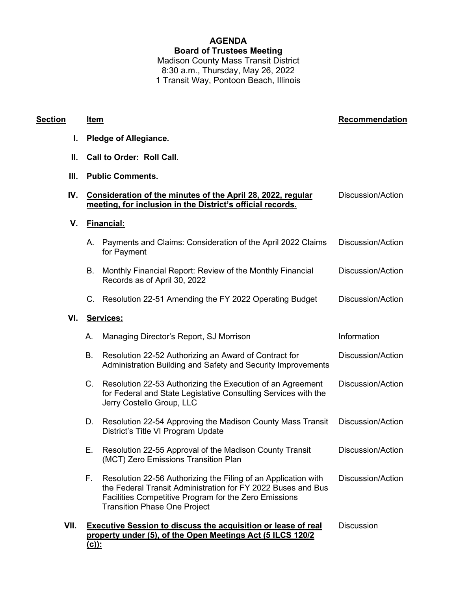# **AGENDA Board of Trustees Meeting** Madison County Mass Transit District 8:30 a.m., Thursday, May 26, 2022 1 Transit Way, Pontoon Beach, Illinois

## **Section Item Recommendation**

- **I. Pledge of Allegiance.**
- **II. Call to Order: Roll Call.**
- **III. Public Comments.**

|  | IV. Consideration of the minutes of the April 28, 2022, regular | Discussion/Action |
|--|-----------------------------------------------------------------|-------------------|
|  | meeting, for inclusion in the District's official records.      |                   |
|  |                                                                 |                   |

**V. Financial:**

**VI. Services:**

| А.        | Payments and Claims: Consideration of the April 2022 Claims<br>for Payment                                                                                                                                                     | Discussion/Action |  |
|-----------|--------------------------------------------------------------------------------------------------------------------------------------------------------------------------------------------------------------------------------|-------------------|--|
| В.        | Monthly Financial Report: Review of the Monthly Financial<br>Records as of April 30, 2022                                                                                                                                      | Discussion/Action |  |
|           | C. Resolution 22-51 Amending the FY 2022 Operating Budget                                                                                                                                                                      | Discussion/Action |  |
| Services: |                                                                                                                                                                                                                                |                   |  |
| Α.        | Managing Director's Report, SJ Morrison                                                                                                                                                                                        | Information       |  |
| В.        | Resolution 22-52 Authorizing an Award of Contract for<br>Administration Building and Safety and Security Improvements                                                                                                          | Discussion/Action |  |
| C.        | Resolution 22-53 Authorizing the Execution of an Agreement<br>for Federal and State Legislative Consulting Services with the<br>Jerry Costello Group, LLC                                                                      | Discussion/Action |  |
| D.        | Resolution 22-54 Approving the Madison County Mass Transit<br>District's Title VI Program Update                                                                                                                               | Discussion/Action |  |
| Е.        | Resolution 22-55 Approval of the Madison County Transit<br>(MCT) Zero Emissions Transition Plan                                                                                                                                | Discussion/Action |  |
| F.,       | Resolution 22-56 Authorizing the Filing of an Application with<br>the Federal Transit Administration for FY 2022 Buses and Bus<br>Facilities Competitive Program for the Zero Emissions<br><b>Transition Phase One Project</b> | Discussion/Action |  |

**VII. Executive Session to discuss the acquisition or lease of real property under (5), of the Open Meetings Act (5 ILCS 120/2 (c)): Discussion**